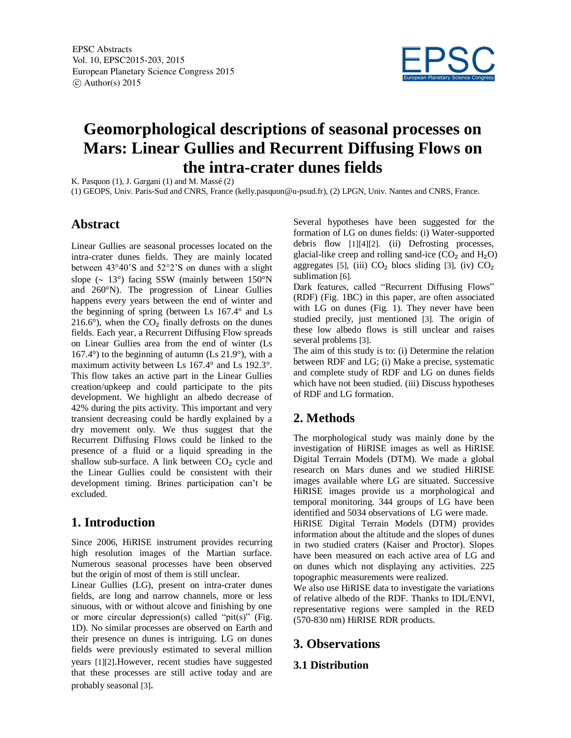

# **Geomorphological descriptions of seasonal processes on Mars: Linear Gullies and Recurrent Diffusing Flows on the intra-crater dunes fields**

K. Pasquon (1), J. Gargani (1) and M. Massé (2)

(1) GEOPS, Univ. Paris-Sud and CNRS, France (kelly.pasquon@u-psud.fr), (2) LPGN, Univ. Nantes and CNRS, France.

### **Abstract**

Linear Gullies are seasonal processes located on the intra-crater dunes fields. They are mainly located between 43°40'S and 52°2'S on dunes with a slight slope ( $\sim 13^{\circ}$ ) facing SSW (mainly between 150°N and 260°N). The progression of Linear Gullies happens every years between the end of winter and the beginning of spring (between Ls 167.4° and Ls 216.6°), when the  $CO<sub>2</sub>$  finally defrosts on the dunes fields. Each year, a Recurrent Diffusing Flow spreads on Linear Gullies area from the end of winter (Ls  $167.4^\circ$ ) to the beginning of autumn (Ls  $21.9^\circ$ ), with a maximum activity between Ls 167.4° and Ls 192.3°. This flow takes an active part in the Linear Gullies creation/upkeep and could participate to the pits development. We highlight an albedo decrease of 42% during the pits activity. This important and very transient decreasing could be hardly explained by a dry movement only. We thus suggest that the Recurrent Diffusing Flows could be linked to the presence of a fluid or a liquid spreading in the shallow sub-surface. A link between  $CO<sub>2</sub>$  cycle and the Linear Gullies could be consistent with their development timing. Brines participation can't be excluded.

## **1. Introduction**

Since 2006, HiRISE instrument provides recurring high resolution images of the Martian surface. Numerous seasonal processes have been observed but the origin of most of them is still unclear.

Linear Gullies (LG), present on intra-crater dunes fields, are long and narrow channels, more or less sinuous, with or without alcove and finishing by one or more circular depression(s) called "pit(s)" (Fig. 1D). No similar processes are observed on Earth and their presence on dunes is intriguing. LG on dunes fields were previously estimated to several million years [1][2].However, recent studies have suggested that these processes are still active today and are probably seasonal [3].

Several hypotheses have been suggested for the formation of LG on dunes fields: (i) Water-supported debris flow [1][4][2]. (ii) Defrosting processes, glacial-like creep and rolling sand-ice  $(CO<sub>2</sub>$  and  $H<sub>2</sub>O$ ) aggregates [5], (iii)  $CO<sub>2</sub>$  blocs sliding [3], (iv)  $CO<sub>2</sub>$ sublimation [6].

Dark features, called "Recurrent Diffusing Flows" (RDF) (Fig. 1BC) in this paper, are often associated with LG on dunes (Fig. 1). They never have been studied precily, just mentioned [3]. The origin of these low albedo flows is still unclear and raises several problems [3].

The aim of this study is to: (i) Determine the relation between RDF and LG; (i) Make a precise, systematic and complete study of RDF and LG on dunes fields which have not been studied. (iii) Discuss hypotheses of RDF and LG formation.

## **2. Methods**

The morphological study was mainly done by the investigation of HiRISE images as well as HiRISE Digital Terrain Models (DTM). We made a global research on Mars dunes and we studied HiRISE images available where LG are situated. Successive HiRISE images provide us a morphological and temporal monitoring. 344 groups of LG have been identified and 5034 observations of LG were made. HiRISE Digital Terrain Models (DTM) provides

information about the altitude and the slopes of dunes in two studied craters (Kaiser and Proctor). Slopes have been measured on each active area of LG and on dunes which not displaying any activities. 225 topographic measurements were realized.

We also use HiRISE data to investigate the variations of relative albedo of the RDF. Thanks to IDL/ENVI, representative regions were sampled in the RED (570-830 nm) HiRISE RDR products.

#### **3. Observations**

#### **3.1 Distribution**